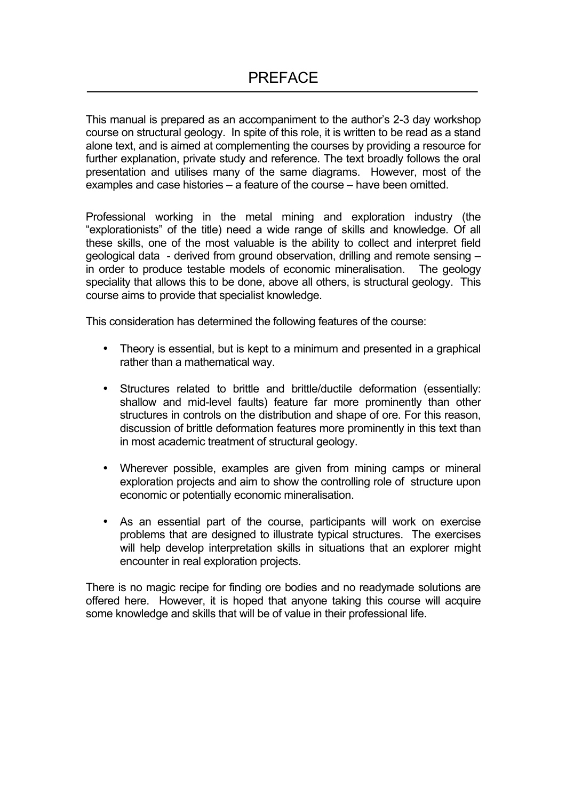This manual is prepared as an accompaniment to the author's 2-3 day workshop course on structural geology. In spite of this role, it is written to be read as a stand alone text, and is aimed at complementing the courses by providing a resource for further explanation, private study and reference. The text broadly follows the oral presentation and utilises many of the same diagrams. However, most of the examples and case histories – a feature of the course – have been omitted.

Professional working in the metal mining and exploration industry (the "explorationists" of the title) need a wide range of skills and knowledge. Of all these skills, one of the most valuable is the ability to collect and interpret field geological data - derived from ground observation, drilling and remote sensing – in order to produce testable models of economic mineralisation. The geology speciality that allows this to be done, above all others, is structural geology. This course aims to provide that specialist knowledge.

This consideration has determined the following features of the course:

- Theory is essential, but is kept to a minimum and presented in a graphical rather than a mathematical way.
- Structures related to brittle and brittle/ductile deformation (essentially: shallow and mid-level faults) feature far more prominently than other structures in controls on the distribution and shape of ore. For this reason, discussion of brittle deformation features more prominently in this text than in most academic treatment of structural geology.
- Wherever possible, examples are given from mining camps or mineral exploration projects and aim to show the controlling role of structure upon economic or potentially economic mineralisation.
- As an essential part of the course, participants will work on exercise problems that are designed to illustrate typical structures. The exercises will help develop interpretation skills in situations that an explorer might encounter in real exploration projects.

There is no magic recipe for finding ore bodies and no readymade solutions are offered here. However, it is hoped that anyone taking this course will acquire some knowledge and skills that will be of value in their professional life.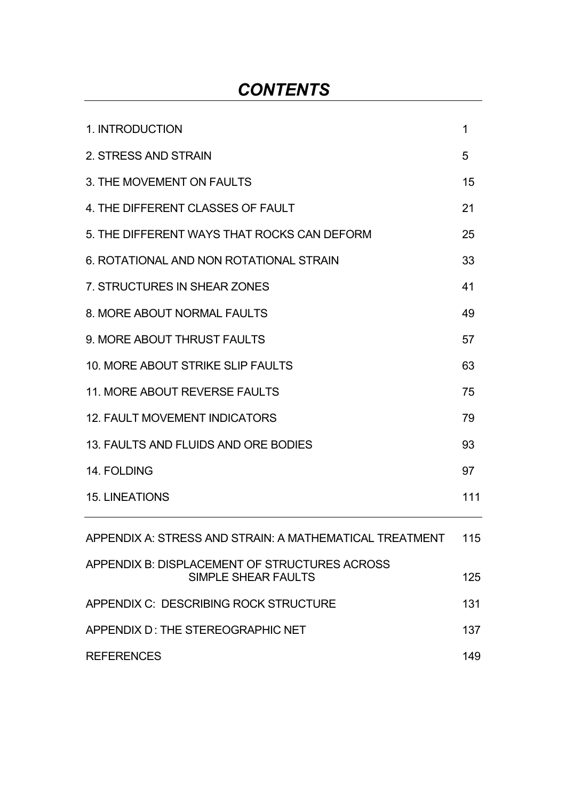# *CONTENTS*

| 1. INTRODUCTION                                                      | 1   |
|----------------------------------------------------------------------|-----|
| 2. STRESS AND STRAIN                                                 | 5   |
| 3. THE MOVEMENT ON FAULTS                                            | 15  |
| 4. THE DIFFERENT CLASSES OF FAULT                                    | 21  |
| 5. THE DIFFERENT WAYS THAT ROCKS CAN DEFORM                          | 25  |
| 6. ROTATIONAL AND NON ROTATIONAL STRAIN                              | 33  |
| 7. STRUCTURES IN SHEAR ZONES                                         | 41  |
| 8. MORE ABOUT NORMAL FAULTS                                          | 49  |
| 9. MORE ABOUT THRUST FAULTS                                          | 57  |
| 10. MORE ABOUT STRIKE SLIP FAULTS                                    | 63  |
| <b>11. MORE ABOUT REVERSE FAULTS</b>                                 | 75  |
| <b>12. FAULT MOVEMENT INDICATORS</b>                                 | 79  |
| 13. FAULTS AND FLUIDS AND ORE BODIES                                 | 93  |
| 14. FOLDING                                                          | 97  |
| <b>15. LINEATIONS</b>                                                | 111 |
| APPENDIX A: STRESS AND STRAIN: A MATHEMATICAL TREATMENT              | 115 |
| APPENDIX B: DISPLACEMENT OF STRUCTURES ACROSS<br>SIMPLE SHEAR FAULTS | 125 |
| APPENDIX C: DESCRIBING ROCK STRUCTURE                                | 131 |
| APPENDIX D: THE STEREOGRAPHIC NET                                    | 137 |
| <b>REFERENCES</b>                                                    | 149 |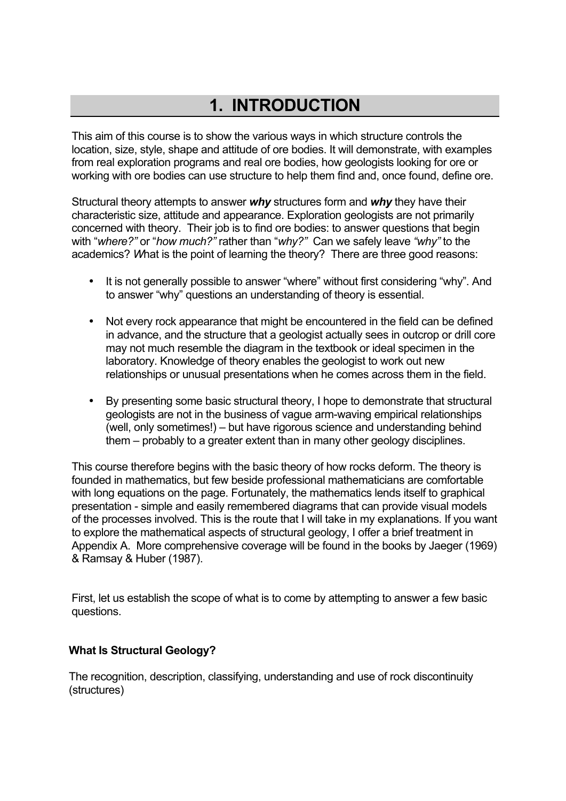# **1. INTRODUCTION**

This aim of this course is to show the various ways in which structure controls the location, size, style, shape and attitude of ore bodies. It will demonstrate, with examples from real exploration programs and real ore bodies, how geologists looking for ore or working with ore bodies can use structure to help them find and, once found, define ore.

Structural theory attempts to answer *why* structures form and *why* they have their characteristic size, attitude and appearance. Exploration geologists are not primarily concerned with theory. Their job is to find ore bodies: to answer questions that begin with "*where?"* or "*how much?"* rather than "*why?"* Can we safely leave *"why"* to the academics? *W*hat is the point of learning the theory? There are three good reasons:

- It is not generally possible to answer "where" without first considering "why". And to answer "why" questions an understanding of theory is essential.
- Not every rock appearance that might be encountered in the field can be defined in advance, and the structure that a geologist actually sees in outcrop or drill core may not much resemble the diagram in the textbook or ideal specimen in the laboratory. Knowledge of theory enables the geologist to work out new relationships or unusual presentations when he comes across them in the field.
- By presenting some basic structural theory, I hope to demonstrate that structural geologists are not in the business of vague arm-waving empirical relationships (well, only sometimes!) – but have rigorous science and understanding behind them – probably to a greater extent than in many other geology disciplines.

This course therefore begins with the basic theory of how rocks deform. The theory is founded in mathematics, but few beside professional mathematicians are comfortable with long equations on the page. Fortunately, the mathematics lends itself to graphical presentation - simple and easily remembered diagrams that can provide visual models of the processes involved. This is the route that I will take in my explanations. If you want to explore the mathematical aspects of structural geology, I offer a brief treatment in Appendix A. More comprehensive coverage will be found in the books by Jaeger (1969) & Ramsay & Huber (1987).

First, let us establish the scope of what is to come by attempting to answer a few basic questions.

# **What Is Structural Geology?**

The recognition, description, classifying, understanding and use of rock discontinuity (structures)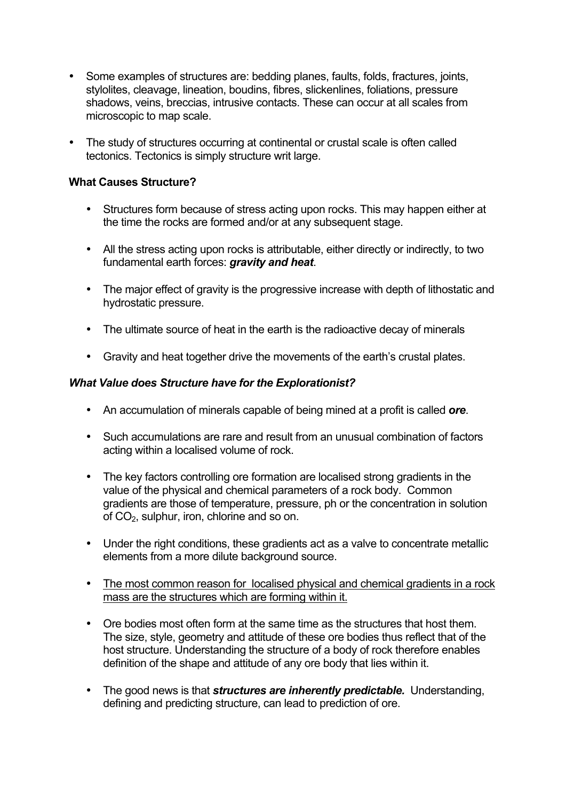- Some examples of structures are: bedding planes, faults, folds, fractures, joints, stylolites, cleavage, lineation, boudins, fibres, slickenlines, foliations, pressure shadows, veins, breccias, intrusive contacts. These can occur at all scales from microscopic to map scale.
- The study of structures occurring at continental or crustal scale is often called tectonics. Tectonics is simply structure writ large.

#### **What Causes Structure?**

- Structures form because of stress acting upon rocks. This may happen either at the time the rocks are formed and/or at any subsequent stage.
- All the stress acting upon rocks is attributable, either directly or indirectly, to two fundamental earth forces: *gravity and heat*.
- The major effect of gravity is the progressive increase with depth of lithostatic and hydrostatic pressure.
- The ultimate source of heat in the earth is the radioactive decay of minerals
- Gravity and heat together drive the movements of the earth's crustal plates.

## *What Value does Structure have for the Explorationist?*

- An accumulation of minerals capable of being mined at a profit is called *ore*.
- Such accumulations are rare and result from an unusual combination of factors acting within a localised volume of rock.
- The key factors controlling ore formation are localised strong gradients in the value of the physical and chemical parameters of a rock body. Common gradients are those of temperature, pressure, ph or the concentration in solution of CO<sub>2</sub>, sulphur, iron, chlorine and so on.
- Under the right conditions, these gradients act as a valve to concentrate metallic elements from a more dilute background source.
- The most common reason for localised physical and chemical gradients in a rock mass are the structures which are forming within it.
- Ore bodies most often form at the same time as the structures that host them. The size, style, geometry and attitude of these ore bodies thus reflect that of the host structure. Understanding the structure of a body of rock therefore enables definition of the shape and attitude of any ore body that lies within it.
- The good news is that *structures are inherently predictable.* Understanding, defining and predicting structure, can lead to prediction of ore.